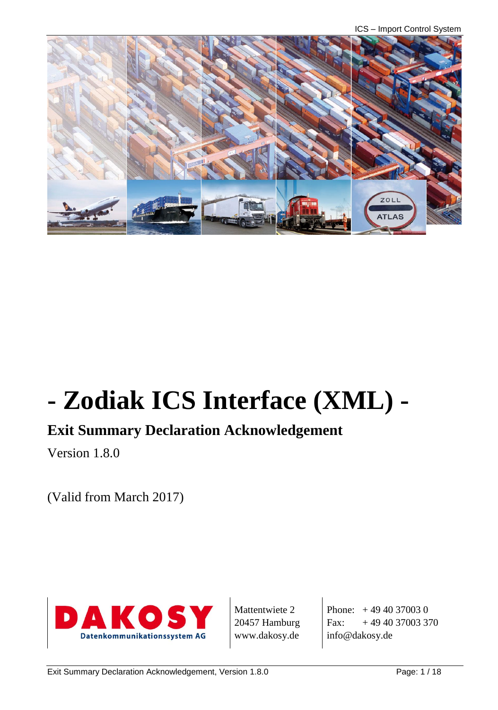ICS – Import Control System



# **- Zodiak ICS Interface (XML) -**

# **Exit Summary Declaration Acknowledgement**

Version 1.8.0

(Valid from March 2017)



Mattentwiete 2 20457 Hamburg www.dakosy.de

Phone: + 49 40 37003 0 Fax:  $+494037003370$ info@dakosy.de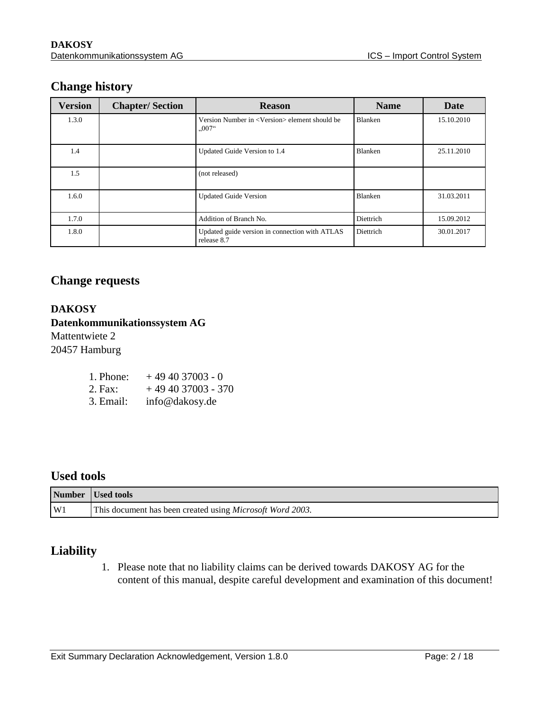#### **Change history**

| <b>Version</b> | <b>Chapter/Section</b> | <b>Reason</b>                                                                              | <b>Name</b> | <b>Date</b> |
|----------------|------------------------|--------------------------------------------------------------------------------------------|-------------|-------------|
| 1.3.0          |                        | Version Number in <version> element should be<br/><math>0.007</math><sup>"</sup></version> | Blanken     | 15.10.2010  |
| 1.4            |                        | Updated Guide Version to 1.4                                                               | Blanken     | 25.11.2010  |
| 1.5            |                        | (not released)                                                                             |             |             |
| 1.6.0          |                        | <b>Updated Guide Version</b>                                                               | Blanken     | 31.03.2011  |
| 1.7.0          |                        | Addition of Branch No.                                                                     | Diettrich   | 15.09.2012  |
| 1.8.0          |                        | Updated guide version in connection with ATLAS<br>release 8.7                              | Diettrich   | 30.01.2017  |

#### **Change requests**

#### **DAKOSY Datenkommunikationssystem AG**  Mattentwiete 2

20457 Hamburg

| 1. Phone: | $+494037003 - 0$ |
|-----------|------------------|
|-----------|------------------|

- 2. Fax:  $+494037003 370$
- 3. Email: info@dakosy.de

#### **Used tools**

|    | Number   Used tools                                               |
|----|-------------------------------------------------------------------|
| W1 | This document has been created using <i>Microsoft Word 2003</i> . |

#### **Liability**

1. Please note that no liability claims can be derived towards DAKOSY AG for the content of this manual, despite careful development and examination of this document!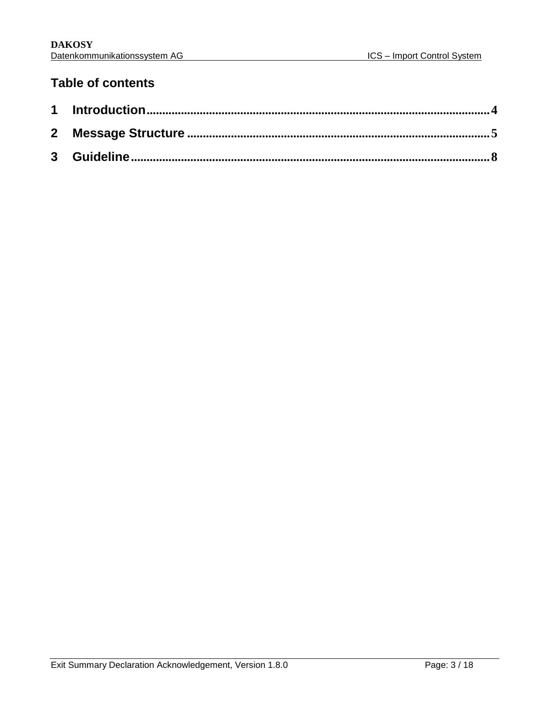### **Table of contents**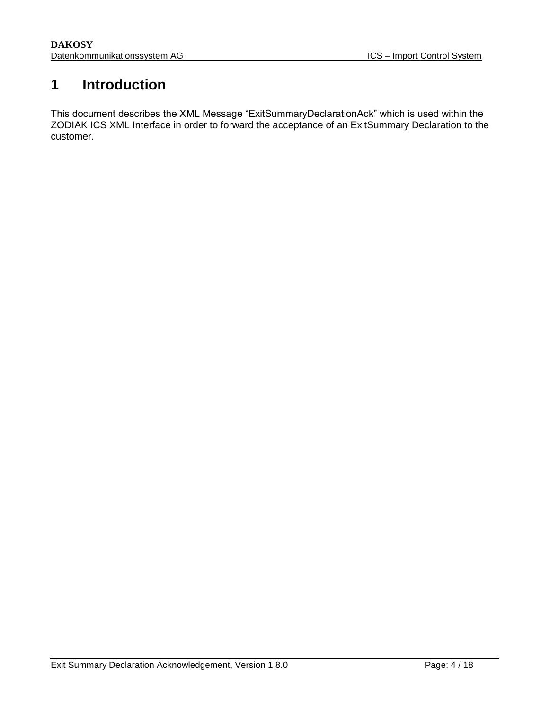# <span id="page-3-0"></span>**1 Introduction**

This document describes the XML Message "ExitSummaryDeclarationAck" which is used within the ZODIAK ICS XML Interface in order to forward the acceptance of an ExitSummary Declaration to the customer.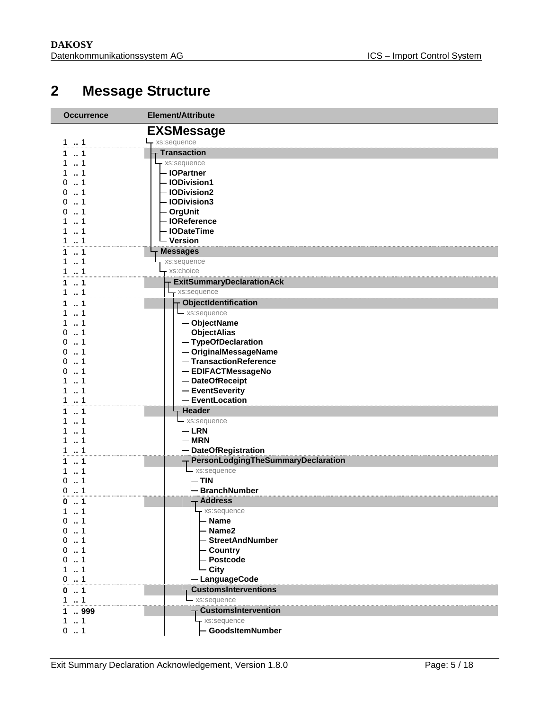# <span id="page-4-0"></span>**Message Structure**

| <b>Occurrence</b> | Element/Attribute                  |
|-------------------|------------------------------------|
|                   | <b>EXSMessage</b>                  |
| $1 - 1$           | - xs:sequence                      |
| 1<br>1.           | <b>Transaction</b>                 |
| $\dots$ 1         | xs:sequence                        |
| 1.1               | - IOPartner                        |
| 01                | - IODivision1                      |
| $0 \t  1$         | - IODivision2                      |
| 01                | - IODivision3                      |
| 01                | - OrgUnit                          |
| 11                | - IOReference                      |
| 11                | - IODateTime                       |
| 11                | - Version                          |
| 11                | <b>Messages</b>                    |
| 1<br>1.           | xs:sequence                        |
| $\dots$ 1         | xs:choice                          |
| 11                | <b>ExitSummaryDeclarationAck</b>   |
| 11                | xs:sequence                        |
| 1<br>1.           | ObjectIdentification               |
| 11                | xs:sequence                        |
| 11                | - ObjectName                       |
| 01                | <b>ObjectAlias</b>                 |
| $0 \t  1$         | - TypeOfDeclaration                |
| 01                | - OriginalMessageName              |
| 01                | - TransactionReference             |
| $\dots$ 1<br>0    | <b>EDIFACTMessageNo</b>            |
| 1                 | <b>DateOfReceipt</b>               |
| $\ldots$ 1        | <b>EventSeverity</b>               |
| 1                 | EventLocation                      |
| 1.1               | <b>Header</b>                      |
| $\ldots$ 1<br>1   | xs:sequence                        |
| . . 1<br>1.       | <b>LRN</b>                         |
| $\ldots$ 1<br>1   | <b>MRN</b>                         |
| 1.1               | <b>DateOfRegistration</b>          |
| $\dots 1$<br>1.   | PersonLodgingTheSummaryDeclaration |
| 1<br>1            | xs:sequence                        |
| 1<br>0            | - TIN                              |
| 0.1               | - BranchNumber                     |
| $\ldots$ 1<br>0   | - Address                          |
| 1<br>$1 \quad$    | xs:sequence                        |
| 0.1               | <b>Name</b>                        |
| $\dots$ 1<br>0    | - Name2                            |
| $0 \t  1$         | - StreetAndNumber                  |
| 01                | - Country                          |
| $\dots$ 1<br>0    | <b>Postcode</b>                    |
| 1                 | - City                             |
| 0.1               | - LanguageCode                     |
| $\ldots$ 1<br>0   | <b>CustomsInterventions</b>        |
| $\ldots$ 1        | xs:sequence                        |
| 1  999            | <b>CustomsIntervention</b>         |
| 1<br>1.           | - xs:sequence                      |
| 0.1               | - GoodsItemNumber                  |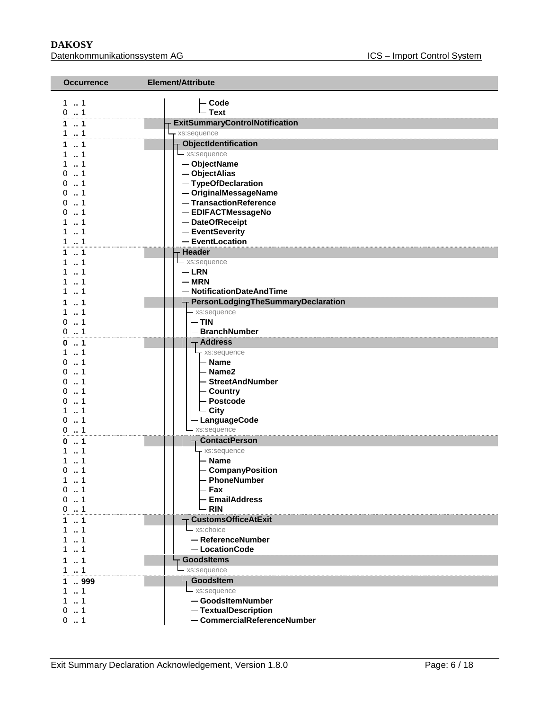| <b>Occurrence</b>     | Element/Attribute                            |
|-----------------------|----------------------------------------------|
| $1 \t{.} 1$           |                                              |
| 0.1                   | <b>Code</b><br>- Text                        |
| 1.1                   | <b>ExitSummaryControlNotification</b>        |
| 11                    | xs:sequence                                  |
| 1.1                   | <b>ObjectIdentification</b>                  |
| 1.1                   | - xs:sequence                                |
| 11                    | - ObjectName                                 |
| 01                    | <b>ObjectAlias</b>                           |
| 0.1                   | - TypeOfDeclaration                          |
| 01                    | - OriginalMessageName                        |
| $0 \t  1$             | - TransactionReference                       |
| $0 \dots 1$           | - EDIFACTMessageNo                           |
| 11<br>1.1             | <b>DateOfReceipt</b><br><b>EventSeverity</b> |
| 1.1                   | <b>EventLocation</b>                         |
| $\ldots$ 1<br>1.      | Header                                       |
| 11                    | xs:sequence                                  |
| $\dots$ 1<br>1.       | - LRN                                        |
| 1<br>$\dots$ 1        | <b>MRN</b>                                   |
| 1.1                   | <b>NotificationDateAndTime</b>               |
| $\ldots$ 1<br>1       | PersonLodgingTheSummaryDeclaration           |
| 11                    | xs:sequence                                  |
| $0 \t  1$             | - TIN                                        |
| 0.1                   | <b>BranchNumber</b>                          |
| $\ldots$ 1<br>0       | <b>Address</b>                               |
| $1 \t  1$             | xs:sequence                                  |
| $0 \dots 1$           | - Name                                       |
| 01<br>01              | - Name2<br>- StreetAndNumber                 |
| $0 \dots 1$           | - Country                                    |
| 1<br>0                | Postcode                                     |
| $\dots$ 1<br>1        | - City                                       |
| 0.1                   | <b>LanguageCode</b>                          |
| 0.1                   | xs:sequence                                  |
| 1<br>0                | <b>ContactPerson</b>                         |
| 1<br>1                | xs:sequence                                  |
| 1<br>1.               | - Name                                       |
| 1<br>0                | - CompanyPosition                            |
| 1.1<br>$\dots$ 1<br>0 | PhoneNumber<br>Fax                           |
| $\dots$ 1<br>0        | <b>EmailAddress</b>                          |
| $0 \dots 1$           | <b>RIN</b>                                   |
| 1<br>1.               | <b>CustomsOfficeAtExit</b>                   |
| $\cdot$ 1<br>1        | xs:choice                                    |
| $\dots$ 1<br>1        | - ReferenceNumber                            |
| 1.1                   | - LocationCode                               |
| 1<br>1                | <b>GoodsItems</b>                            |
| 11                    | xs:sequence                                  |
| 999<br>1.             | <b>GoodsItem</b>                             |
| 1<br>1.               | xs:sequence                                  |
| 11                    | - GoodsItemNumber                            |
| 0.1                   | - TextualDescription                         |
| 0.1                   | <b>CommercialReferenceNumber</b>             |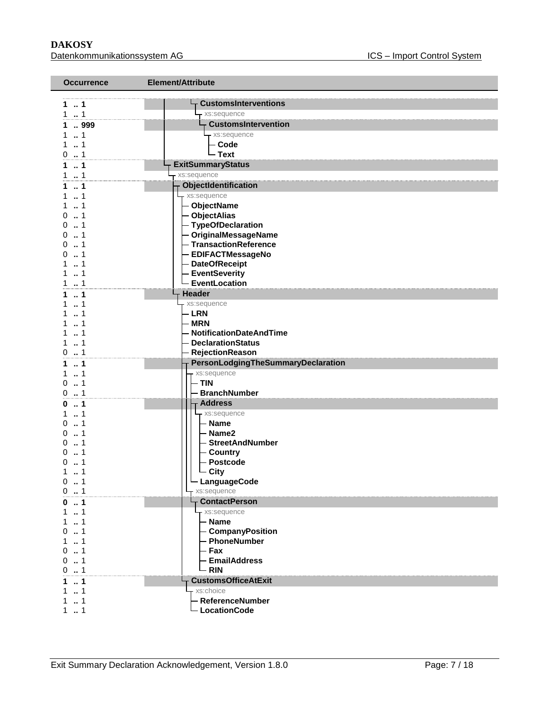**DAKOSY**<br>
<u>Datenkommunikationssystem AG</u><br>
Matenkommunikationssystem AG Datenkommunikationssystem AG

| <b>Occurrence</b> | Element/Attribute                                   |  |
|-------------------|-----------------------------------------------------|--|
|                   |                                                     |  |
| 1. . 1            | <b>CustomsInterventions</b>                         |  |
| 11                | xs:sequence<br><b>CustomsIntervention</b>           |  |
| 999<br>11         |                                                     |  |
| $\ldots$ 1<br>1.  | xs:sequence<br>- Code                               |  |
| 0.1               | - Text                                              |  |
| $\ldots$ 1        | <b>ExitSummaryStatus</b>                            |  |
| $\ldots$ 1        | xs:sequence                                         |  |
| $\ldots$ 1        | ObjectIdentification                                |  |
| 1                 | xs:sequence                                         |  |
| $\ldots$ 1<br>1.  | - ObjectName                                        |  |
| 1<br>0            | - ObjectAlias                                       |  |
| 1<br>0            | - TypeOfDeclaration                                 |  |
| 0<br>1            | - OriginalMessageName                               |  |
| 1<br>0            | - TransactionReference                              |  |
| 0<br>$\cdot$ 1    | - EDIFACTMessageNo                                  |  |
| 1<br>1            | - DateOfReceipt                                     |  |
| 1                 | <b>EventSeverity</b>                                |  |
| 1                 | - EventLocation                                     |  |
| 1                 | Header                                              |  |
| 1                 | xs:sequence                                         |  |
| 1                 | - LRN                                               |  |
| $\cdot$ 1<br>1    | - MRN                                               |  |
| $\dots$ 1<br>1.   | NotificationDateAndTime<br><b>DeclarationStatus</b> |  |
| 1<br>0            | <b>RejectionReason</b>                              |  |
| $\ldots$ 1<br>1.  | PersonLodgingTheSummaryDeclaration                  |  |
| $\dots$ 1<br>1    | xs:sequence                                         |  |
| $\dots$ 1<br>0    | - TIN                                               |  |
| 1<br>0            | <b>BranchNumber</b>                                 |  |
| $\ldots$ 1<br>0   | <b>Address</b>                                      |  |
| $\dots$ 1<br>1.   | xs:sequence                                         |  |
| $\dots$ 1<br>0    | – Name                                              |  |
| 1<br>0            | - Name2                                             |  |
| $\cdot$ 1<br>0    | - StreetAndNumber                                   |  |
| 1<br>0            | - Country                                           |  |
| O<br>1            | Postcode                                            |  |
| $\ldots$ 1<br>1.  | - City                                              |  |
| $0 \dots 1$       | └ LanguageCode                                      |  |
| $0 \t  1$         | xs:sequence<br><b>ContactPerson</b>                 |  |
| 1<br>0<br>11      | - xs:sequence                                       |  |
| 11                | $-$ Name                                            |  |
| 01                | - CompanyPosition                                   |  |
| $1 \t  1$         | - PhoneNumber                                       |  |
| 01                | – Fax                                               |  |
| 01                | - EmailAddress                                      |  |
| 0.1               | $-$ RIN                                             |  |
| 1<br>1.           | <b>CustomsOfficeAtExit</b>                          |  |
| 11                | xs:choice                                           |  |
| 1                 | - ReferenceNumber                                   |  |
| 1.1               | - LocationCode                                      |  |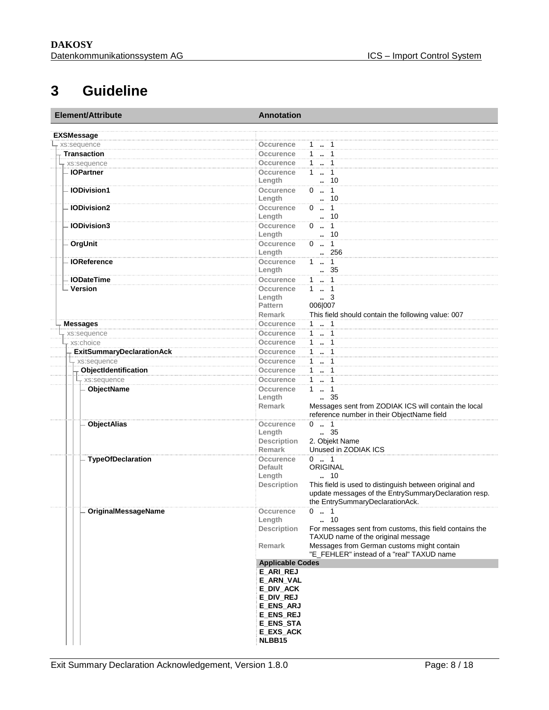# <span id="page-7-0"></span>**3 Guideline**

| Element/Attribute                | <b>Annotation</b>                                                                                 |  |  |
|----------------------------------|---------------------------------------------------------------------------------------------------|--|--|
| <b>EXSMessage</b>                |                                                                                                   |  |  |
| xs:sequence                      | Occurence<br>$1 - 1$                                                                              |  |  |
| <b>Transaction</b>               | $1 - 1$<br>Occurence                                                                              |  |  |
| xs:sequence                      | 1  1<br>Occurence                                                                                 |  |  |
| - IOPartner                      | $1 \quad 1$<br>Occurence                                                                          |  |  |
|                                  | . 10<br>Length                                                                                    |  |  |
| - IODivision1                    | Occurence<br>$0 \t . 1$                                                                           |  |  |
|                                  | $\cdot$ 10<br>Length                                                                              |  |  |
| <b>IODivision2</b>               | $0 \t . 1$<br>Occurence                                                                           |  |  |
|                                  | Length<br>. 10                                                                                    |  |  |
| <b>IODivision3</b>               | $0 \t . 1$<br>Occurence                                                                           |  |  |
|                                  | . 10<br>Length                                                                                    |  |  |
| OrgUnit                          | $0 \t . 1$<br>Occurence                                                                           |  |  |
|                                  | .256<br>Length                                                                                    |  |  |
| <b>IOReference</b>               | Occurence<br>$1 \t  \t 1$                                                                         |  |  |
| <b>IODateTime</b>                | Length<br>. 35<br>$1 \t  1$<br>Occurence                                                          |  |  |
| - Version                        | $1 - 1$                                                                                           |  |  |
|                                  | Occurence<br>$\cdot$ 3<br>Length                                                                  |  |  |
|                                  | 006 007<br>Pattern                                                                                |  |  |
|                                  | This field should contain the following value: 007<br><b>Remark</b>                               |  |  |
| <b>Messages</b>                  | Occurence                                                                                         |  |  |
|                                  | $1 - 1$<br>$1 \quad 1$<br>Occurence                                                               |  |  |
| xs:sequence<br>xs:choice         | $1 - 1$<br><b>Occurence</b>                                                                       |  |  |
| <b>ExitSummaryDeclarationAck</b> | $1 - 1$<br><b>Occurence</b>                                                                       |  |  |
|                                  | $1 \t  \t 1$<br>Occurence                                                                         |  |  |
| xs:sequence                      | $1 - 1$                                                                                           |  |  |
| ObjectIdentification             | Occurence<br>$1 - 1$                                                                              |  |  |
| <sub>r</sub> xs:sequence         | Occurence                                                                                         |  |  |
| ObjectName                       | $1 \t . 1$<br>Occurence<br>$\frac{35}{2}$<br>Length                                               |  |  |
|                                  | Messages sent from ZODIAK ICS will contain the local<br><b>Remark</b>                             |  |  |
|                                  | reference number in their ObjectName field                                                        |  |  |
| <b>ObjectAlias</b>               | $0 \t . 1$<br>Occurence                                                                           |  |  |
|                                  | $\frac{1}{2}$ 35<br>Length                                                                        |  |  |
|                                  | 2. Objekt Name<br><b>Description</b>                                                              |  |  |
|                                  | Unused in ZODIAK ICS<br><b>Remark</b>                                                             |  |  |
| <b>TypeOfDeclaration</b>         | <b>Occurence</b><br>$0 \t  1$                                                                     |  |  |
|                                  | <b>Default</b><br>ORIGINAL                                                                        |  |  |
|                                  | 10<br>Length                                                                                      |  |  |
|                                  | This field is used to distinguish between original and<br><b>Description</b>                      |  |  |
|                                  | update messages of the EntrySummaryDeclaration resp.                                              |  |  |
|                                  | the EntrySummaryDeclarationAck.                                                                   |  |  |
| <b>OriginalMessageName</b>       | occurence<br>$0 \ldots 1$                                                                         |  |  |
|                                  | Length<br>10                                                                                      |  |  |
|                                  | Description<br>For messages sent from customs, this field contains the                            |  |  |
|                                  | TAXUD name of the original message                                                                |  |  |
|                                  | Messages from German customs might contain<br>Remark<br>"E_FEHLER" instead of a "real" TAXUD name |  |  |
|                                  |                                                                                                   |  |  |
|                                  | <b>Applicable Codes</b><br><b>E_ARI_REJ</b>                                                       |  |  |
|                                  | <b>E ARN VAL</b>                                                                                  |  |  |
|                                  | E_DIV_ACK                                                                                         |  |  |
|                                  | E_DIV_REJ                                                                                         |  |  |
|                                  | <b>E_ENS_ARJ</b>                                                                                  |  |  |
|                                  | E_ENS_REJ                                                                                         |  |  |
|                                  | E_ENS_STA                                                                                         |  |  |
|                                  | <b>E_EXS_ACK</b>                                                                                  |  |  |
|                                  | NLBB15                                                                                            |  |  |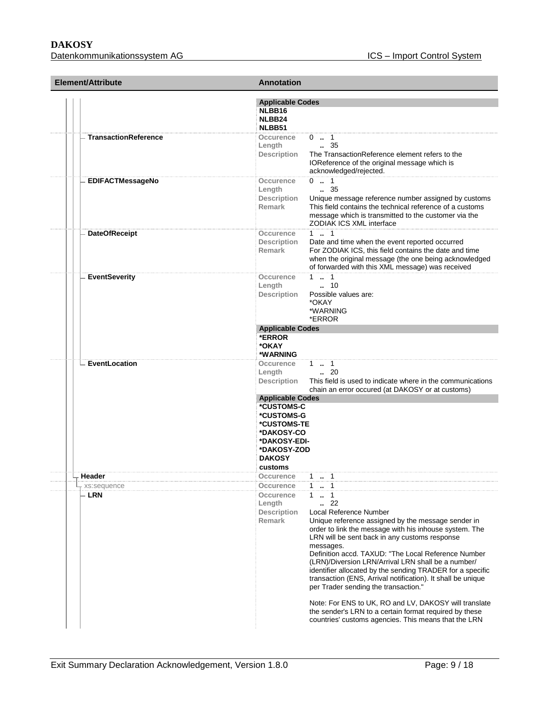# **DAKOSY**

Datenkommunikationssystem AG **ICS** – Import Control System

| <b>Element/Attribute</b>    | <b>Annotation</b>                                                                                                                           |                                                                                                                                                                                                                                                                                                                                                                                                                                                                                                                                                                                                                                                                                      |  |
|-----------------------------|---------------------------------------------------------------------------------------------------------------------------------------------|--------------------------------------------------------------------------------------------------------------------------------------------------------------------------------------------------------------------------------------------------------------------------------------------------------------------------------------------------------------------------------------------------------------------------------------------------------------------------------------------------------------------------------------------------------------------------------------------------------------------------------------------------------------------------------------|--|
|                             | <b>Applicable Codes</b><br>NLBB16<br>NLBB24                                                                                                 |                                                                                                                                                                                                                                                                                                                                                                                                                                                                                                                                                                                                                                                                                      |  |
|                             | NLBB51                                                                                                                                      |                                                                                                                                                                                                                                                                                                                                                                                                                                                                                                                                                                                                                                                                                      |  |
| <b>TransactionReference</b> | Occurence<br>Length<br>Description                                                                                                          | $0 \t  1$<br>$\frac{1}{2}$ 35<br>The TransactionReference element refers to the<br>IOReference of the original message which is<br>acknowledged/rejected.                                                                                                                                                                                                                                                                                                                                                                                                                                                                                                                            |  |
| <b>EDIFACTMessageNo</b>     | Occurence<br>Length<br><b>Description</b><br>Remark                                                                                         | $0 \t  1$<br>$\ldots$ 35<br>Unique message reference number assigned by customs<br>This field contains the technical reference of a customs<br>message which is transmitted to the customer via the<br>ZODIAK ICS XML interface                                                                                                                                                                                                                                                                                                                                                                                                                                                      |  |
| <b>DateOfReceipt</b>        | Occurence<br><b>Description</b><br><b>Remark</b>                                                                                            | 11<br>Date and time when the event reported occurred<br>For ZODIAK ICS, this field contains the date and time<br>when the original message (the one being acknowledged<br>of forwarded with this XML message) was received                                                                                                                                                                                                                                                                                                                                                                                                                                                           |  |
| <b>EventSeverity</b>        | Occurence<br>Length<br><b>Description</b>                                                                                                   | 11<br>$\ldots$ 10<br>Possible values are:<br>*OKAY<br>*WARNING<br>*ERROR                                                                                                                                                                                                                                                                                                                                                                                                                                                                                                                                                                                                             |  |
|                             | <b>Applicable Codes</b>                                                                                                                     |                                                                                                                                                                                                                                                                                                                                                                                                                                                                                                                                                                                                                                                                                      |  |
|                             | *ERROR<br>*OKAY<br>*WARNING                                                                                                                 |                                                                                                                                                                                                                                                                                                                                                                                                                                                                                                                                                                                                                                                                                      |  |
| EventLocation               | Occurence<br>Length<br><b>Description</b>                                                                                                   | 1 . 1<br>$\cdot$ 20<br>This field is used to indicate where in the communications<br>chain an error occured (at DAKOSY or at customs)                                                                                                                                                                                                                                                                                                                                                                                                                                                                                                                                                |  |
|                             | <b>Applicable Codes</b><br>*CUSTOMS-C<br>*CUSTOMS-G<br>*CUSTOMS-TE<br>*DAKOSY-CO<br>*DAKOSY-EDI-<br>*DAKOSY-ZOD<br><b>DAKOSY</b><br>customs |                                                                                                                                                                                                                                                                                                                                                                                                                                                                                                                                                                                                                                                                                      |  |
| Header                      | Occurence                                                                                                                                   | 1.1                                                                                                                                                                                                                                                                                                                                                                                                                                                                                                                                                                                                                                                                                  |  |
| xs:sequence<br>- LRN        | <b>Occurence</b><br>Occurence<br>Length<br><b>Description</b><br><b>Remark</b>                                                              | 1  1<br>11<br>22<br>Local Reference Number<br>Unique reference assigned by the message sender in<br>order to link the message with his inhouse system. The<br>LRN will be sent back in any customs response<br>messages.<br>Definition accd. TAXUD: "The Local Reference Number<br>(LRN)/Diversion LRN/Arrival LRN shall be a number/<br>identifier allocated by the sending TRADER for a specific<br>transaction (ENS, Arrival notification). It shall be unique<br>per Trader sending the transaction."<br>Note: For ENS to UK, RO and LV, DAKOSY will translate<br>the sender's LRN to a certain format required by these<br>countries' customs agencies. This means that the LRN |  |
|                             |                                                                                                                                             |                                                                                                                                                                                                                                                                                                                                                                                                                                                                                                                                                                                                                                                                                      |  |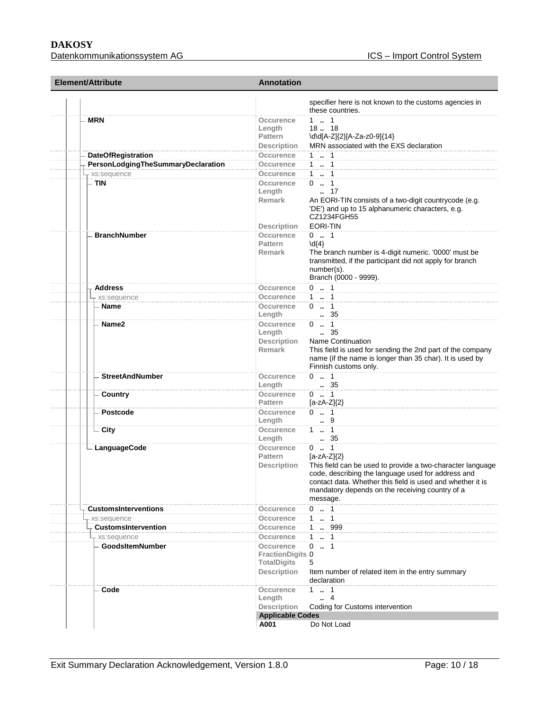| <b>Element/Attribute</b>                            | <b>Annotation</b>                                                                             |                                                                                                                                                                                                                                                                               |
|-----------------------------------------------------|-----------------------------------------------------------------------------------------------|-------------------------------------------------------------------------------------------------------------------------------------------------------------------------------------------------------------------------------------------------------------------------------|
|                                                     |                                                                                               | specifier here is not known to the customs agencies in<br>these countries.                                                                                                                                                                                                    |
| <b>MRN</b>                                          | <b>Occurence</b><br>Length<br>Pattern                                                         | $1 - 1$<br>1818<br>\d\d[A-Z]{2}[A-Za-z0-9]{14}                                                                                                                                                                                                                                |
|                                                     | <b>Description</b>                                                                            | MRN associated with the EXS declaration                                                                                                                                                                                                                                       |
| <b>DateOfRegistration</b>                           | Occurence                                                                                     | 1 . 1<br>11                                                                                                                                                                                                                                                                   |
| PersonLodgingTheSummaryDeclaration<br>- xs:sequence | Occurence<br>Occurence                                                                        | 1  1                                                                                                                                                                                                                                                                          |
| $-$ TIN                                             | Occurence                                                                                     | $0 \t . 1$                                                                                                                                                                                                                                                                    |
|                                                     | Length<br>Remark<br><b>Description</b>                                                        | $\cdot$ 17<br>An EORI-TIN consists of a two-digit countrycode (e.g.<br>'DE') and up to 15 alphanumeric characters, e.g.<br>CZ1234FGH55<br><b>EORI-TIN</b>                                                                                                                     |
| <b>BranchNumber</b>                                 | <b>Occurence</b>                                                                              | $0 \t  1$                                                                                                                                                                                                                                                                     |
|                                                     | Pattern<br><b>Remark</b>                                                                      | $\{d\}$<br>The branch number is 4-digit numeric. '0000' must be<br>transmitted, if the participant did not apply for branch<br>number(s).<br>Branch (0000 - 9999).                                                                                                            |
| <b>Address</b>                                      | Occurence                                                                                     | $0 \t  1$                                                                                                                                                                                                                                                                     |
| xs:sequence                                         | <b>Occurence</b>                                                                              | $1 - 1$                                                                                                                                                                                                                                                                       |
| Name                                                | Occurence<br>Length                                                                           | $0 \t  1$<br>35                                                                                                                                                                                                                                                               |
| Name2                                               | Occurence<br>Length<br>Description<br><b>Remark</b>                                           | $0 \t . 1$<br>$\, 35$<br><b>Name Continuation</b><br>This field is used for sending the 2nd part of the company<br>name (if the name is longer than 35 char). It is used by<br>Finnish customs only.                                                                          |
| <b>StreetAndNumber</b>                              | Occurence<br>Length                                                                           | $0 \t  1$<br>. 35                                                                                                                                                                                                                                                             |
| Country                                             | Occurence<br><b>Pattern</b>                                                                   | $0 \t  \t 1$<br>$[a-zA-Z]\{2\}$                                                                                                                                                                                                                                               |
| Postcode                                            | Occurence<br>Length                                                                           | $0 \t  1$<br>9                                                                                                                                                                                                                                                                |
| $\overline{\phantom{a}}$ City                       | Occurence<br>Length                                                                           | $1 - 1$<br>$\, 35$                                                                                                                                                                                                                                                            |
| - LanguageCode                                      | Occurence<br>Pattern<br><b>Description</b>                                                    | $0 \t  1$<br>$[a-zA-Z]\{2\}$<br>This field can be used to provide a two-character language<br>code, describing the language used for address and<br>contact data. Whether this field is used and whether it is<br>mandatory depends on the receiving country of a<br>message. |
| <b>CustomsInterventions</b>                         | Occurence                                                                                     | $0 \t  1$                                                                                                                                                                                                                                                                     |
| xs:sequence                                         | Occurence                                                                                     | $1 - 1$                                                                                                                                                                                                                                                                       |
| <b>CustomsIntervention</b>                          | Occurence                                                                                     | 1 . 999                                                                                                                                                                                                                                                                       |
| xs:sequence<br><b>GoodsItemNumber</b>               | Occurence<br>Occurence<br><b>FractionDigits 0</b><br><b>TotalDigits</b><br><b>Description</b> | $1 - 1$<br>$0 \t . 1$<br>5<br>Item number of related item in the entry summary<br>declaration                                                                                                                                                                                 |
| Code                                                | Occurence<br>Length<br><b>Description</b>                                                     | $1 \t1 \t1$<br>$\cdot$ 4<br>Coding for Customs intervention                                                                                                                                                                                                                   |
|                                                     | <b>Applicable Codes</b><br>A001                                                               | Do Not Load                                                                                                                                                                                                                                                                   |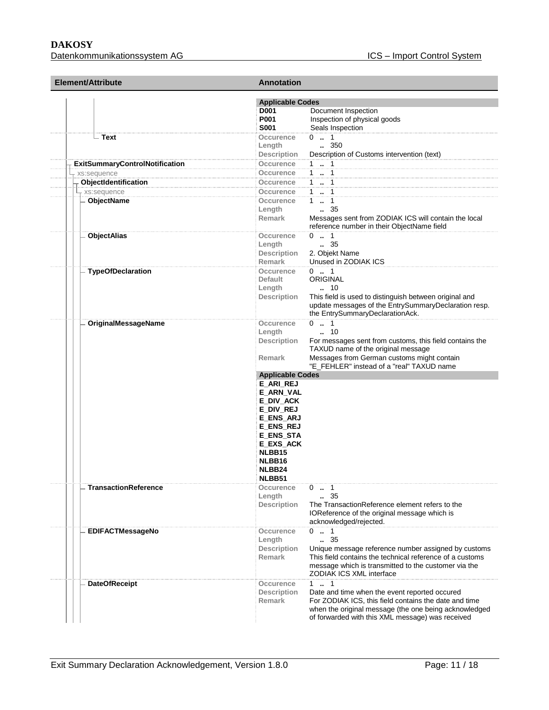#### **DAKOSY**  Datenkommunikationssystem AG **ICS** – Import Control System

| Element/Attribute                     | <b>Annotation</b><br><b>Applicable Codes</b>                                                                                                                             |                                                                                                                                                                                                                               |  |
|---------------------------------------|--------------------------------------------------------------------------------------------------------------------------------------------------------------------------|-------------------------------------------------------------------------------------------------------------------------------------------------------------------------------------------------------------------------------|--|
|                                       |                                                                                                                                                                          |                                                                                                                                                                                                                               |  |
|                                       | D001                                                                                                                                                                     | Document Inspection                                                                                                                                                                                                           |  |
|                                       | P001<br><b>S001</b>                                                                                                                                                      | Inspection of physical goods<br>Seals Inspection                                                                                                                                                                              |  |
| – Text                                | Occurence<br>Length                                                                                                                                                      | $0 \t  1$<br>350                                                                                                                                                                                                              |  |
|                                       | Description                                                                                                                                                              | Description of Customs intervention (text)                                                                                                                                                                                    |  |
| <b>ExitSummaryControlNotification</b> | Occurence                                                                                                                                                                | 1  1                                                                                                                                                                                                                          |  |
| xs:sequence                           | Occurence                                                                                                                                                                | $1 - 1$                                                                                                                                                                                                                       |  |
| ObjectIdentification                  | Occurence                                                                                                                                                                | 1  1                                                                                                                                                                                                                          |  |
| + xs:sequence                         | Occurence                                                                                                                                                                | 1  1                                                                                                                                                                                                                          |  |
| ObjectName                            | Occurence<br>Length<br><b>Remark</b>                                                                                                                                     | 1.1<br>$\frac{1}{2}$ 35<br>Messages sent from ZODIAK ICS will contain the local<br>reference number in their ObjectName field                                                                                                 |  |
| <b>ObjectAlias</b>                    | Occurence<br>Length<br>Description                                                                                                                                       | $0 \t  1$<br>$\, 35$<br>2. Objekt Name                                                                                                                                                                                        |  |
| <b>TypeOfDeclaration</b>              | <b>Remark</b><br><b>Occurence</b><br><b>Default</b>                                                                                                                      | Unused in ZODIAK ICS<br>$0 \t  1$<br>ORIGINAL                                                                                                                                                                                 |  |
|                                       | Length<br><b>Description</b>                                                                                                                                             | 10<br>This field is used to distinguish between original and<br>update messages of the EntrySummaryDeclaration resp.<br>the EntrySummaryDeclarationAck.                                                                       |  |
| OriginalMessageName                   | Occurence<br>Length<br><b>Description</b><br><b>Remark</b>                                                                                                               | $0 \t  1$<br>10<br>For messages sent from customs, this field contains the<br>TAXUD name of the original message<br>Messages from German customs might contain<br>"E_FEHLER" instead of a "real" TAXUD name                   |  |
|                                       | <b>Applicable Codes</b>                                                                                                                                                  |                                                                                                                                                                                                                               |  |
|                                       | <b>E_ARI_REJ</b>                                                                                                                                                         |                                                                                                                                                                                                                               |  |
| <b>TransactionReference</b>           | E_ARN_VAL<br>E_DIV_ACK<br><b>E_DIV_REJ</b><br><b>E_ENS_ARJ</b><br><b>E_ENS_REJ</b><br><b>E_ENS_STA</b><br>E_EXS_ACK<br>NLBB15<br>NLBB16<br>NLBB24<br>NLBB51<br>Occurence | $0 \t  1$                                                                                                                                                                                                                     |  |
|                                       | Length<br><b>Description</b>                                                                                                                                             | $\, 35$<br>The TransactionReference element refers to the<br>IOReference of the original message which is<br>acknowledged/rejected.                                                                                           |  |
| <b>EDIFACTMessageNo</b>               | Occurence<br>Length<br><b>Description</b><br><b>Remark</b>                                                                                                               | $0 \t  1$<br>35<br>Unique message reference number assigned by customs<br>This field contains the technical reference of a customs<br>message which is transmitted to the customer via the<br><b>ZODIAK ICS XML interface</b> |  |
| <b>DateOfReceipt</b>                  | Occurence<br><b>Description</b><br>Remark                                                                                                                                | 1 . 1<br>Date and time when the event reported occured<br>For ZODIAK ICS, this field contains the date and time<br>when the original message (the one being acknowledged<br>of forwarded with this XML message) was received  |  |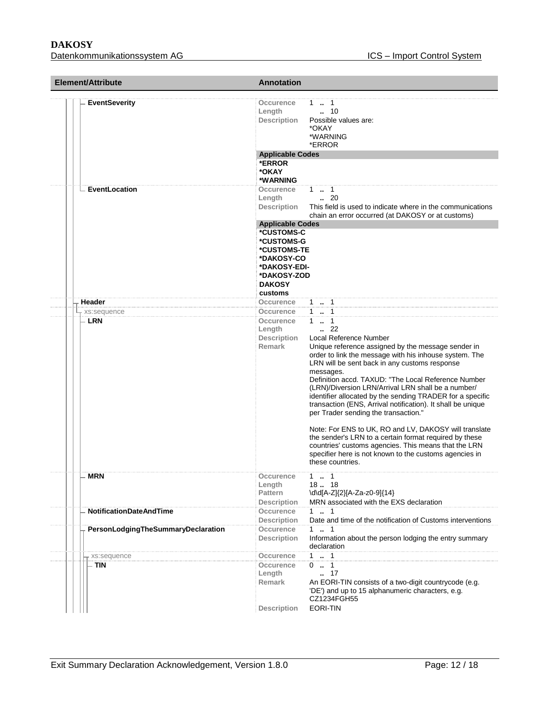| Element/Attribute                  | <b>Annotation</b>                                                                                                                           |                                                                                                                                                                                                                                                                                                                                                                                                                                                                                                                                                                                                                                                                                                                                                                         |
|------------------------------------|---------------------------------------------------------------------------------------------------------------------------------------------|-------------------------------------------------------------------------------------------------------------------------------------------------------------------------------------------------------------------------------------------------------------------------------------------------------------------------------------------------------------------------------------------------------------------------------------------------------------------------------------------------------------------------------------------------------------------------------------------------------------------------------------------------------------------------------------------------------------------------------------------------------------------------|
| <b>EventSeverity</b>               | Occurence<br>Length<br><b>Description</b><br><b>Applicable Codes</b><br>*ERROR                                                              | 1.1<br>$\ldots$ 10<br>Possible values are:<br>*OKAY<br>*WARNING<br>*ERROR                                                                                                                                                                                                                                                                                                                                                                                                                                                                                                                                                                                                                                                                                               |
| EventLocation                      | *OKAY<br>*WARNING<br>Occurence                                                                                                              | 1 . 1                                                                                                                                                                                                                                                                                                                                                                                                                                                                                                                                                                                                                                                                                                                                                                   |
|                                    | Length<br><b>Description</b>                                                                                                                | $\cdot$ 20<br>This field is used to indicate where in the communications<br>chain an error occurred (at DAKOSY or at customs)                                                                                                                                                                                                                                                                                                                                                                                                                                                                                                                                                                                                                                           |
|                                    | <b>Applicable Codes</b><br>*CUSTOMS-C<br>*CUSTOMS-G<br>*CUSTOMS-TE<br>*DAKOSY-CO<br>*DAKOSY-EDI-<br>*DAKOSY-ZOD<br><b>DAKOSY</b><br>customs |                                                                                                                                                                                                                                                                                                                                                                                                                                                                                                                                                                                                                                                                                                                                                                         |
| Header                             | Occurence                                                                                                                                   | 1  1                                                                                                                                                                                                                                                                                                                                                                                                                                                                                                                                                                                                                                                                                                                                                                    |
| xs:sequence                        | Occurence                                                                                                                                   | $1 - 1$                                                                                                                                                                                                                                                                                                                                                                                                                                                                                                                                                                                                                                                                                                                                                                 |
| – LRN                              | Occurence<br>Length<br><b>Description</b><br><b>Remark</b>                                                                                  | $1 - 1$<br>$\cdot$ 22<br>Local Reference Number<br>Unique reference assigned by the message sender in<br>order to link the message with his inhouse system. The<br>LRN will be sent back in any customs response<br>messages.<br>Definition accd. TAXUD: "The Local Reference Number<br>(LRN)/Diversion LRN/Arrival LRN shall be a number/<br>identifier allocated by the sending TRADER for a specific<br>transaction (ENS, Arrival notification). It shall be unique<br>per Trader sending the transaction."<br>Note: For ENS to UK, RO and LV, DAKOSY will translate<br>the sender's LRN to a certain format required by these<br>countries' customs agencies. This means that the LRN<br>specifier here is not known to the customs agencies in<br>these countries. |
| <b>MRN</b>                         | Occurence<br>Length<br><b>Pattern</b><br><b>Description</b>                                                                                 | 1 . 1<br>18. 18<br>\d\d[A-Z]{2}[A-Za-z0-9]{14}<br>MRN associated with the EXS declaration                                                                                                                                                                                                                                                                                                                                                                                                                                                                                                                                                                                                                                                                               |
| <b>NotificationDateAndTime</b>     | Occurence<br><b>Description</b>                                                                                                             | $1 \t  1$<br>Date and time of the notification of Customs interventions                                                                                                                                                                                                                                                                                                                                                                                                                                                                                                                                                                                                                                                                                                 |
| PersonLodgingTheSummaryDeclaration | Occurence<br><b>Description</b>                                                                                                             | 1 . 1<br>Information about the person lodging the entry summary<br>declaration                                                                                                                                                                                                                                                                                                                                                                                                                                                                                                                                                                                                                                                                                          |
| xs:sequence                        | <b>Occurence</b>                                                                                                                            | 11                                                                                                                                                                                                                                                                                                                                                                                                                                                                                                                                                                                                                                                                                                                                                                      |
| TIN                                | Occurence<br>Length<br>Remark<br><b>Description</b>                                                                                         | 01<br>$\ldots$ 17<br>An EORI-TIN consists of a two-digit countrycode (e.g.<br>'DE') and up to 15 alphanumeric characters, e.g.<br>CZ1234FGH55<br><b>EORI-TIN</b>                                                                                                                                                                                                                                                                                                                                                                                                                                                                                                                                                                                                        |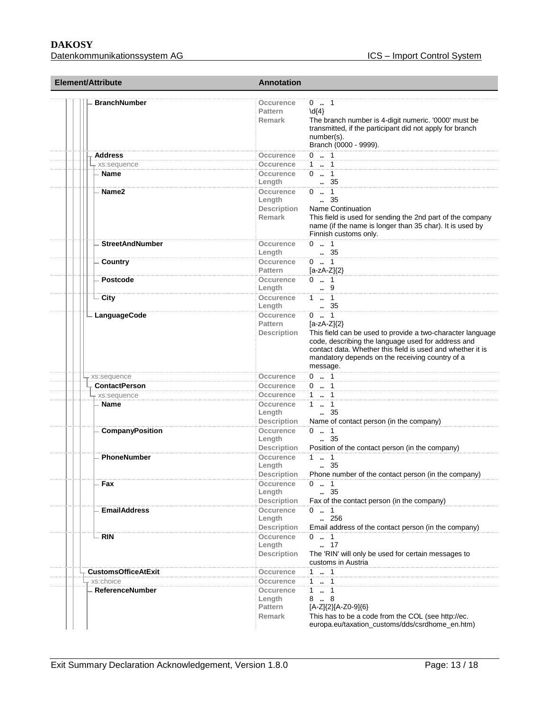# **DAKOSY**

| <b>Element/Attribute</b> |                            | <b>Annotation</b>                                          |                                                                                                                                                                                                                                                                               |  |
|--------------------------|----------------------------|------------------------------------------------------------|-------------------------------------------------------------------------------------------------------------------------------------------------------------------------------------------------------------------------------------------------------------------------------|--|
|                          | <b>BranchNumber</b>        | Occurence<br><b>Pattern</b><br><b>Remark</b>               | $0 \dots 1$<br>$\{4\}$<br>The branch number is 4-digit numeric. '0000' must be<br>transmitted, if the participant did not apply for branch<br>number(s).<br>Branch (0000 - 9999).                                                                                             |  |
|                          | <b>Address</b>             | Occurence                                                  | $0 \t . 1$                                                                                                                                                                                                                                                                    |  |
|                          | - xs:sequence              | Occurence                                                  | 1  1                                                                                                                                                                                                                                                                          |  |
|                          | Name                       | Occurence                                                  | $0 \t  1$                                                                                                                                                                                                                                                                     |  |
|                          |                            | Length                                                     | 35                                                                                                                                                                                                                                                                            |  |
|                          | Name <sub>2</sub>          | <b>Occurence</b><br>Length<br>Description<br><b>Remark</b> | $0 \t  1$<br>$\, 35$<br><b>Name Continuation</b><br>This field is used for sending the 2nd part of the company<br>name (if the name is longer than 35 char). It is used by<br>Finnish customs only.                                                                           |  |
|                          | <b>StreetAndNumber</b>     | Occurence                                                  | $0 \t  1$                                                                                                                                                                                                                                                                     |  |
|                          |                            | Length                                                     | 35                                                                                                                                                                                                                                                                            |  |
|                          | Country                    | Occurence                                                  | $0 \t  1$                                                                                                                                                                                                                                                                     |  |
|                          |                            | <b>Pattern</b>                                             | $[a-zA-Z]\{2\}$                                                                                                                                                                                                                                                               |  |
|                          | Postcode                   | Occurence<br>Length                                        | $0 \t  1$<br>9                                                                                                                                                                                                                                                                |  |
|                          | - City                     | Occurence<br>Length                                        | $1 \t  1$<br>35                                                                                                                                                                                                                                                               |  |
|                          | LanguageCode               | Occurence<br>Pattern<br><b>Description</b>                 | $0 \t  1$<br>$[a-zA-Z]\{2\}$<br>This field can be used to provide a two-character language<br>code, describing the language used for address and<br>contact data. Whether this field is used and whether it is<br>mandatory depends on the receiving country of a<br>message. |  |
|                          | xs:sequence                | Occurence                                                  | $0 \t1$                                                                                                                                                                                                                                                                       |  |
|                          | <b>ContactPerson</b>       | Occurence                                                  | $0 \t  1$                                                                                                                                                                                                                                                                     |  |
|                          | - xs:sequence              | Occurence                                                  | $1 \t  1$                                                                                                                                                                                                                                                                     |  |
|                          | - Name                     | Occurence<br>Length<br><b>Description</b>                  | $1 \t  \t 1$<br>35<br>Name of contact person (in the company)                                                                                                                                                                                                                 |  |
|                          | <b>CompanyPosition</b>     | Occurence<br>Length<br>Description                         | $0 \t . 1$<br>$\ldots$ 35<br>Position of the contact person (in the company)                                                                                                                                                                                                  |  |
|                          | PhoneNumber                | Occurence<br>Length<br><b>Description</b>                  | $1 \t  \t 1$<br>$\frac{35}{2}$<br>Phone number of the contact person (in the company)                                                                                                                                                                                         |  |
|                          | Fax                        | Occurence<br>Length<br><b>Description</b>                  | $0 \t  1$<br>.35<br>Fax of the contact person (in the company)                                                                                                                                                                                                                |  |
|                          | <b>EmailAddress</b>        | Occurence<br>Length<br><b>Description</b>                  | $0 \t  1$<br>256<br>Email address of the contact person (in the company)                                                                                                                                                                                                      |  |
|                          | <b>RIN</b>                 | <b>Occurence</b><br>Length<br><b>Description</b>           | $0 \t  1$<br>$-.17$<br>The 'RIN' will only be used for certain messages to<br>customs in Austria                                                                                                                                                                              |  |
|                          | <b>CustomsOfficeAtExit</b> | Occurence                                                  | $1 \t  1$                                                                                                                                                                                                                                                                     |  |
|                          | xs:choice                  | Occurence                                                  | $1 - 1$                                                                                                                                                                                                                                                                       |  |
|                          | <b>ReferenceNumber</b>     | Occurence<br>Length<br><b>Pattern</b><br>Remark            | $1 \quad 1$<br>8.8<br>[A-Z]{2}[A-Z0-9]{6}<br>This has to be a code from the COL (see http://ec.                                                                                                                                                                               |  |
|                          |                            |                                                            | europa.eu/taxation_customs/dds/csrdhome_en.htm)                                                                                                                                                                                                                               |  |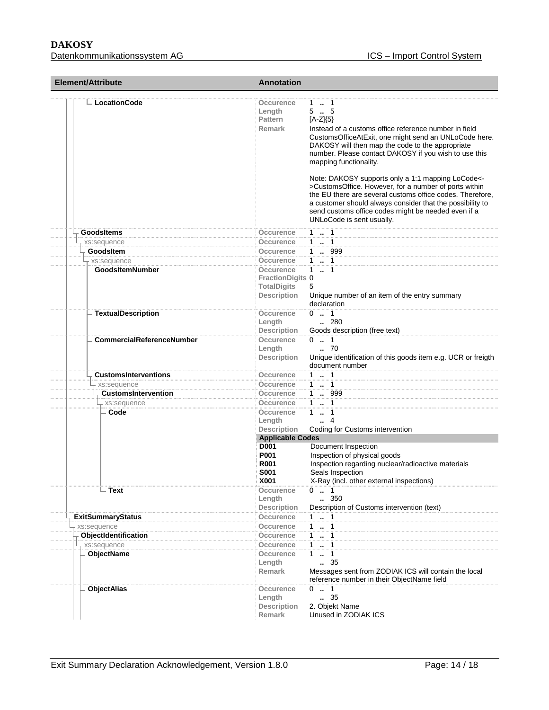| Element/Attribute                     | <b>Annotation</b>                                                                |                                                                                                                                                                                                                                                                                                                                                                                                                                                                                                                                                                                                                     |
|---------------------------------------|----------------------------------------------------------------------------------|---------------------------------------------------------------------------------------------------------------------------------------------------------------------------------------------------------------------------------------------------------------------------------------------------------------------------------------------------------------------------------------------------------------------------------------------------------------------------------------------------------------------------------------------------------------------------------------------------------------------|
| ∟ LocationCode                        | Occurence<br>Length<br>Pattern<br><b>Remark</b>                                  | 1. 1<br>$5-.5$<br>$[A-Z]\{5\}$<br>Instead of a customs office reference number in field<br>CustomsOfficeAtExit, one might send an UNLoCode here.<br>DAKOSY will then map the code to the appropriate<br>number. Please contact DAKOSY if you wish to use this<br>mapping functionality.<br>Note: DAKOSY supports only a 1:1 mapping LoCode<-<br>>CustomsOffice. However, for a number of ports within<br>the EU there are several customs office codes. Therefore.<br>a customer should always consider that the possibility to<br>send customs office codes might be needed even if a<br>UNLoCode is sent usually. |
| <b>GoodsItems</b>                     | Occurence                                                                        | $1 - 1$                                                                                                                                                                                                                                                                                                                                                                                                                                                                                                                                                                                                             |
| xs:sequence                           | Occurence                                                                        | $1 \quad 1$                                                                                                                                                                                                                                                                                                                                                                                                                                                                                                                                                                                                         |
| GoodsItem                             | Occurence                                                                        | 1.999                                                                                                                                                                                                                                                                                                                                                                                                                                                                                                                                                                                                               |
| xs:sequence                           | Occurence                                                                        | $1 - 1$                                                                                                                                                                                                                                                                                                                                                                                                                                                                                                                                                                                                             |
| <b>GoodsItemNumber</b>                | Occurence<br><b>FractionDigits 0</b><br><b>TotalDigits</b><br><b>Description</b> | $1 - 1$<br>5<br>Unique number of an item of the entry summary<br>declaration                                                                                                                                                                                                                                                                                                                                                                                                                                                                                                                                        |
| <b>TextualDescription</b>             | Occurence<br>Length<br><b>Description</b>                                        | $0 \t  1$<br>$\ldots$ 280<br>Goods description (free text)                                                                                                                                                                                                                                                                                                                                                                                                                                                                                                                                                          |
| <b>CommercialReferenceNumber</b>      | <b>Occurence</b><br>Length<br><b>Description</b>                                 | $0 \t  1$<br>.70<br>Unique identification of this goods item e.g. UCR or freigth<br>document number                                                                                                                                                                                                                                                                                                                                                                                                                                                                                                                 |
| <b>CustomsInterventions</b>           | Occurence                                                                        | $1 \t  1$                                                                                                                                                                                                                                                                                                                                                                                                                                                                                                                                                                                                           |
| xs:sequence                           | Occurence                                                                        | $1 - 1$                                                                                                                                                                                                                                                                                                                                                                                                                                                                                                                                                                                                             |
| <b>CustomsIntervention</b>            | Occurence                                                                        | 1 . 999                                                                                                                                                                                                                                                                                                                                                                                                                                                                                                                                                                                                             |
| xs:sequence                           | Occurence                                                                        | $1 \t  \t 1$                                                                                                                                                                                                                                                                                                                                                                                                                                                                                                                                                                                                        |
| Code                                  | Occurence<br>Length<br><b>Description</b><br><b>Applicable Codes</b>             | $1 - 1$<br>4<br>Coding for Customs intervention                                                                                                                                                                                                                                                                                                                                                                                                                                                                                                                                                                     |
|                                       | D001                                                                             | Document Inspection                                                                                                                                                                                                                                                                                                                                                                                                                                                                                                                                                                                                 |
|                                       | P001<br><b>R001</b><br>S001<br>X001                                              | Inspection of physical goods<br>Inspection regarding nuclear/radioactive materials<br>Seals Inspection<br>X-Ray (incl. other external inspections)                                                                                                                                                                                                                                                                                                                                                                                                                                                                  |
| - Text                                | Occurence<br>Length                                                              | $0 \t  1$<br>350                                                                                                                                                                                                                                                                                                                                                                                                                                                                                                                                                                                                    |
|                                       | <b>Description</b>                                                               | Description of Customs intervention (text)                                                                                                                                                                                                                                                                                                                                                                                                                                                                                                                                                                          |
| <b>ExitSummaryStatus</b>              | Occurence                                                                        | $1 \t  1$<br>$\mathbf{1}$                                                                                                                                                                                                                                                                                                                                                                                                                                                                                                                                                                                           |
| xs:sequence                           | Occurence                                                                        | $\cdots$ 1<br>$\mathbf{1}$<br>$\cdot$ 1                                                                                                                                                                                                                                                                                                                                                                                                                                                                                                                                                                             |
| ObjectIdentification<br>+ xs:sequence | Occurence                                                                        | $1 - 1$                                                                                                                                                                                                                                                                                                                                                                                                                                                                                                                                                                                                             |
|                                       | Occurence                                                                        | $1 \t{.} 1$                                                                                                                                                                                                                                                                                                                                                                                                                                                                                                                                                                                                         |
| ObjectName                            | Occurence<br>Length<br>Remark                                                    | . 35<br>Messages sent from ZODIAK ICS will contain the local<br>reference number in their ObjectName field                                                                                                                                                                                                                                                                                                                                                                                                                                                                                                          |
| <b>ObjectAlias</b>                    | Occurence<br>Length<br><b>Description</b><br><b>Remark</b>                       | $0 \t  1$<br>35<br>2. Objekt Name<br>Unused in ZODIAK ICS                                                                                                                                                                                                                                                                                                                                                                                                                                                                                                                                                           |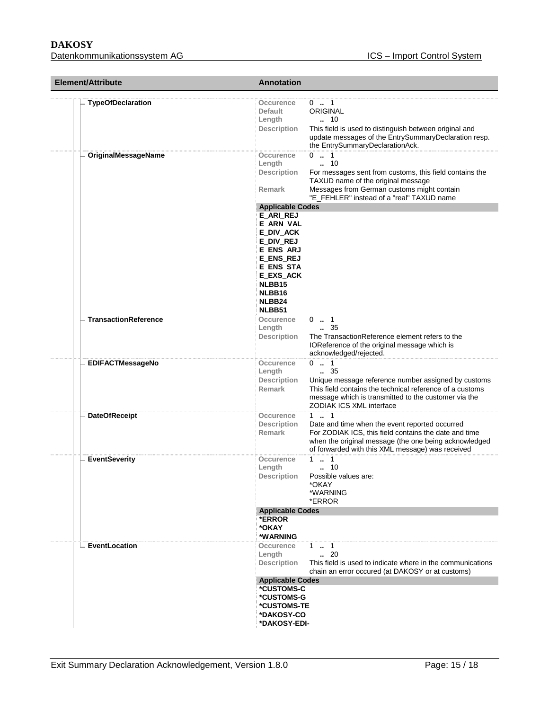| Element/Attribute           | <b>Annotation</b>                                                                                                                                                                                                                                                                           |
|-----------------------------|---------------------------------------------------------------------------------------------------------------------------------------------------------------------------------------------------------------------------------------------------------------------------------------------|
| <b>TypeOfDeclaration</b>    | $0$ . 1<br>Occurence<br>ORIGINAL<br>Default<br>. 10<br>Length<br><b>Description</b><br>This field is used to distinguish between original and<br>update messages of the EntrySummaryDeclaration resp.<br>the EntrySummaryDeclarationAck.                                                    |
| OriginalMessageName         | $0 \t  1$<br>Occurence<br>$\cdot$ 10<br>Length<br><b>Description</b><br>For messages sent from customs, this field contains the<br>TAXUD name of the original message<br>Messages from German customs might contain<br><b>Remark</b><br>"E_FEHLER" instead of a "real" TAXUD name           |
|                             | <b>Applicable Codes</b><br><b>E_ARI_REJ</b><br>E_ARN_VAL<br>E DIV ACK<br>E_DIV_REJ<br><b>E_ENS_ARJ</b><br><b>E_ENS_REJ</b><br><b>E_ENS_STA</b><br>E_EXS_ACK<br>NLBB15<br>NLBB16<br>NLBB24                                                                                                   |
| <b>TransactionReference</b> | NLBB51<br>Occurence<br>$0 \t  1$<br>$\ldots$ 35<br>Length<br>The TransactionReference element refers to the<br><b>Description</b><br>IOReference of the original message which is<br>acknowledged/rejected.                                                                                 |
| <b>EDIFACTMessageNo</b>     | $0 \t  1$<br>Occurence<br>$\frac{1}{2}$ 35<br>Length<br><b>Description</b><br>Unique message reference number assigned by customs<br>Remark<br>This field contains the technical reference of a customs<br>message which is transmitted to the customer via the<br>ZODIAK ICS XML interface |
| <b>DateOfReceipt</b>        | $1 - 1$<br>Occurence<br><b>Description</b><br>Date and time when the event reported occurred<br>For ZODIAK ICS, this field contains the date and time<br><b>Remark</b><br>when the original message (the one being acknowledged<br>of forwarded with this XML message) was received         |
| <b>EventSeverity</b>        | $1 \t  1$<br>Occurence<br>$\ldots$ 10<br>Length<br><b>Description</b><br>Possible values are:<br>*OKAY<br>*WARNING<br>*ERROR                                                                                                                                                                |
|                             | <b>Applicable Codes</b><br>*ERROR<br>*OKAY<br>*WARNING                                                                                                                                                                                                                                      |
| EventLocation               | Occurence<br>1 . 1<br>$\ldots$ 20<br>Length<br><b>Description</b><br>This field is used to indicate where in the communications<br>chain an error occured (at DAKOSY or at customs)                                                                                                         |
|                             | <b>Applicable Codes</b><br>*CUSTOMS-C<br>*CUSTOMS-G<br>*CUSTOMS-TE<br>*DAKOSY-CO<br>*DAKOSY-EDI-                                                                                                                                                                                            |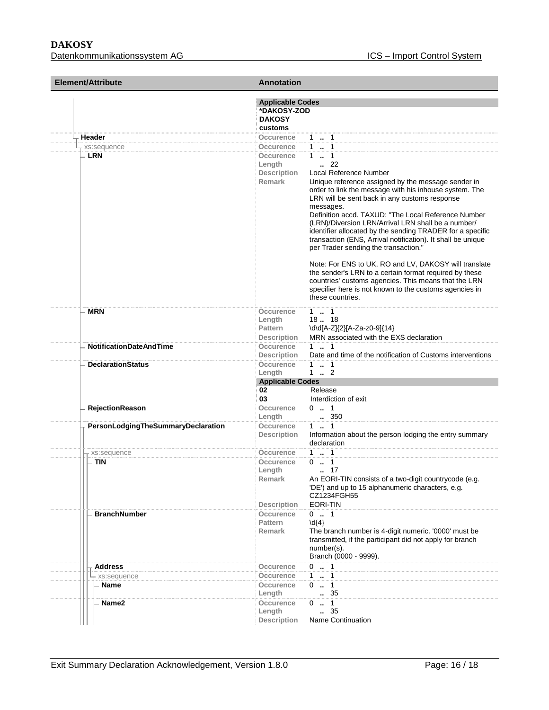| <b>Element/Attribute</b>           | <b>Annotation</b>                                                       |                                                                                                                                                                                                                                                                                                                                                                                                                                                                                                                                                                                                                                                                                                              |
|------------------------------------|-------------------------------------------------------------------------|--------------------------------------------------------------------------------------------------------------------------------------------------------------------------------------------------------------------------------------------------------------------------------------------------------------------------------------------------------------------------------------------------------------------------------------------------------------------------------------------------------------------------------------------------------------------------------------------------------------------------------------------------------------------------------------------------------------|
|                                    | <b>Applicable Codes</b><br>*DAKOSY-ZOD<br><b>DAKOSY</b><br>customs      |                                                                                                                                                                                                                                                                                                                                                                                                                                                                                                                                                                                                                                                                                                              |
| Header                             | Occurence                                                               | $1 \quad 1$                                                                                                                                                                                                                                                                                                                                                                                                                                                                                                                                                                                                                                                                                                  |
| xs:sequence<br>- LRN               | Occurence<br>Occurence<br>Length<br><b>Description</b><br><b>Remark</b> | $1 \t  \t 1$<br>$1 \t . 1$<br>$\cdot$ 22<br>Local Reference Number<br>Unique reference assigned by the message sender in<br>order to link the message with his inhouse system. The<br>LRN will be sent back in any customs response<br>messages.<br>Definition accd. TAXUD: "The Local Reference Number<br>(LRN)/Diversion LRN/Arrival LRN shall be a number/<br>identifier allocated by the sending TRADER for a specific<br>transaction (ENS, Arrival notification). It shall be unique<br>per Trader sending the transaction."<br>Note: For ENS to UK, RO and LV, DAKOSY will translate<br>the sender's LRN to a certain format required by these<br>countries' customs agencies. This means that the LRN |
| <b>MRN</b>                         | <b>Occurence</b><br>Length<br><b>Pattern</b>                            | specifier here is not known to the customs agencies in<br>these countries.<br>$1 \t  \t 1$<br>1818<br>\d\d[A-Z]{2}[A-Za-z0-9]{14}                                                                                                                                                                                                                                                                                                                                                                                                                                                                                                                                                                            |
|                                    | <b>Description</b>                                                      | MRN associated with the EXS declaration                                                                                                                                                                                                                                                                                                                                                                                                                                                                                                                                                                                                                                                                      |
| <b>NotificationDateAndTime</b>     | Occurence                                                               | $1 \t  1$                                                                                                                                                                                                                                                                                                                                                                                                                                                                                                                                                                                                                                                                                                    |
|                                    | <b>Description</b>                                                      | Date and time of the notification of Customs interventions                                                                                                                                                                                                                                                                                                                                                                                                                                                                                                                                                                                                                                                   |
| <b>DeclarationStatus</b>           | <b>Occurence</b><br>Length<br><b>Applicable Codes</b><br>02<br>03       | $1 \t  1$<br>$1 \t  \t 2$<br>Release<br>Interdiction of exit                                                                                                                                                                                                                                                                                                                                                                                                                                                                                                                                                                                                                                                 |
| <b>RejectionReason</b>             | Occurence<br>Length                                                     | $0 \t  1$<br>350                                                                                                                                                                                                                                                                                                                                                                                                                                                                                                                                                                                                                                                                                             |
| PersonLodgingTheSummaryDeclaration | Occurence<br><b>Description</b>                                         | $1 \t  \t 1$<br>Information about the person lodging the entry summary<br>declaration                                                                                                                                                                                                                                                                                                                                                                                                                                                                                                                                                                                                                        |
| xs:sequence                        | Occurence                                                               | $1 - 1$                                                                                                                                                                                                                                                                                                                                                                                                                                                                                                                                                                                                                                                                                                      |
| <b>TIN</b>                         | Occurence<br>Length<br>Remark<br><b>Description</b>                     | $0 \t  1$<br>17<br>An EORI-TIN consists of a two-digit countrycode (e.g.<br>'DE') and up to 15 alphanumeric characters, e.g.<br>CZ1234FGH55<br>EORI-TIN                                                                                                                                                                                                                                                                                                                                                                                                                                                                                                                                                      |
| <b>BranchNumber</b>                | <b>Occurence</b><br>Pattern<br>Remark                                   | $0 \t  1$<br>$\{4\}$<br>The branch number is 4-digit numeric. '0000' must be<br>transmitted, if the participant did not apply for branch<br>number(s).<br>Branch (0000 - 9999).                                                                                                                                                                                                                                                                                                                                                                                                                                                                                                                              |
| Address                            | Occurence                                                               | $0 \t  1$                                                                                                                                                                                                                                                                                                                                                                                                                                                                                                                                                                                                                                                                                                    |
| xs:sequence                        | Occurence                                                               | $1 - 1$                                                                                                                                                                                                                                                                                                                                                                                                                                                                                                                                                                                                                                                                                                      |
| <b>Name</b>                        | Occurence<br>Length                                                     | $0 \t  1$<br>.35                                                                                                                                                                                                                                                                                                                                                                                                                                                                                                                                                                                                                                                                                             |
| Name2                              | Occurence<br>Length<br><b>Description</b>                               | $0 \t  1$<br>35<br><b>Name Continuation</b>                                                                                                                                                                                                                                                                                                                                                                                                                                                                                                                                                                                                                                                                  |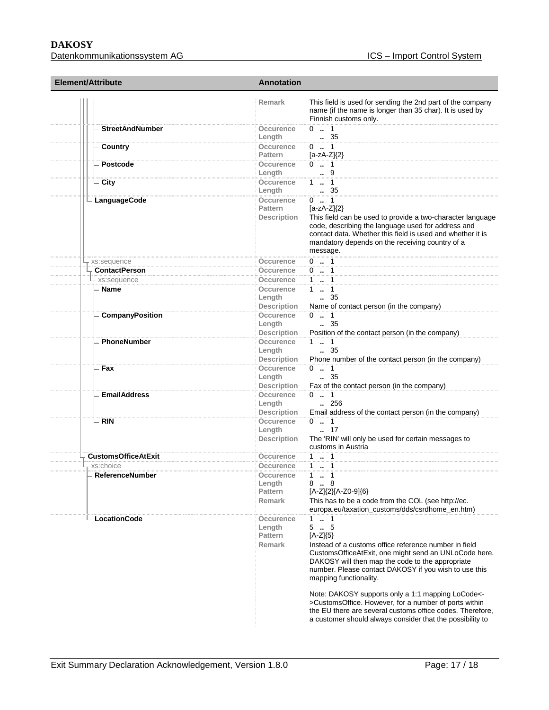# **DAKOSY**

| <b>Element/Attribute</b>   | <b>Annotation</b>                                 |                                                                                                                                                                                                                                                                                                                                                                                                                                                                                                                                     |  |
|----------------------------|---------------------------------------------------|-------------------------------------------------------------------------------------------------------------------------------------------------------------------------------------------------------------------------------------------------------------------------------------------------------------------------------------------------------------------------------------------------------------------------------------------------------------------------------------------------------------------------------------|--|
|                            | <b>Remark</b>                                     | This field is used for sending the 2nd part of the company<br>name (if the name is longer than 35 char). It is used by<br>Finnish customs only.                                                                                                                                                                                                                                                                                                                                                                                     |  |
| <b>StreetAndNumber</b>     | Occurence<br>Length                               | $0 \t  1$<br>. 35                                                                                                                                                                                                                                                                                                                                                                                                                                                                                                                   |  |
| Country                    | Occurence<br>Pattern                              | $0 \t  1$<br>$[a-zA-Z]\{2\}$                                                                                                                                                                                                                                                                                                                                                                                                                                                                                                        |  |
| Postcode                   | Occurence<br>Length                               | $0 \t  1$<br>9                                                                                                                                                                                                                                                                                                                                                                                                                                                                                                                      |  |
| - City                     | Occurence<br>Length                               | 1  1<br>35                                                                                                                                                                                                                                                                                                                                                                                                                                                                                                                          |  |
| - LanguageCode             | <b>Occurence</b><br><b>Pattern</b><br>Description | $0 \t  1$<br>$[a-zA-Z](2)$<br>This field can be used to provide a two-character language<br>code, describing the language used for address and<br>contact data. Whether this field is used and whether it is<br>mandatory depends on the receiving country of a<br>message.                                                                                                                                                                                                                                                         |  |
| xs:sequence                | Occurence                                         | $0 \t1$                                                                                                                                                                                                                                                                                                                                                                                                                                                                                                                             |  |
| <b>ContactPerson</b>       | Occurence                                         | $0 \t  1$                                                                                                                                                                                                                                                                                                                                                                                                                                                                                                                           |  |
| - xs:sequence              | Occurence                                         | 1  1                                                                                                                                                                                                                                                                                                                                                                                                                                                                                                                                |  |
| - Name                     | Occurence<br>Length<br><b>Description</b>         | $1 \t  \t 1$<br>$\, 35$<br>Name of contact person (in the company)                                                                                                                                                                                                                                                                                                                                                                                                                                                                  |  |
| <b>CompanyPosition</b>     | Occurence<br>Length<br><b>Description</b>         | $0 \t  1$<br>$\frac{35}{2}$<br>Position of the contact person (in the company)                                                                                                                                                                                                                                                                                                                                                                                                                                                      |  |
| PhoneNumber                | Occurence<br>Length<br><b>Description</b>         | $1 - 1$<br>$\,-.35$<br>Phone number of the contact person (in the company)                                                                                                                                                                                                                                                                                                                                                                                                                                                          |  |
| - Fax                      | Occurence<br>Length<br><b>Description</b>         | $0 \t  1$<br>$\,-.35$<br>Fax of the contact person (in the company)                                                                                                                                                                                                                                                                                                                                                                                                                                                                 |  |
| <b>EmailAddress</b>        | Occurence<br>Length<br><b>Description</b>         | $0 \t  1$<br>$\ldots$ 256<br>Email address of the contact person (in the company)                                                                                                                                                                                                                                                                                                                                                                                                                                                   |  |
| $-$ RIN                    | Occurence<br>Length<br><b>Description</b>         | $0 \t  1$<br>. 17<br>The 'RIN' will only be used for certain messages to<br>customs in Austria                                                                                                                                                                                                                                                                                                                                                                                                                                      |  |
| <b>CustomsOfficeAtExit</b> | Occurence                                         | $1 \t  1$                                                                                                                                                                                                                                                                                                                                                                                                                                                                                                                           |  |
| xs:choice                  | Occurence                                         | 1  1                                                                                                                                                                                                                                                                                                                                                                                                                                                                                                                                |  |
| <b>ReferenceNumber</b>     | Occurence<br>Length<br>Pattern<br><b>Remark</b>   | 1.1<br>88<br>[A-Z]{2}[A-Z0-9]{6}<br>This has to be a code from the COL (see http://ec.<br>europa.eu/taxation_customs/dds/csrdhome_en.htm)                                                                                                                                                                                                                                                                                                                                                                                           |  |
| <b>LocationCode</b>        | Occurence<br>Length<br><b>Pattern</b><br>Remark   | $1 \t  \t 1$<br>55<br>$[A-Z]\{5\}$<br>Instead of a customs office reference number in field<br>CustomsOfficeAtExit, one might send an UNLoCode here.<br>DAKOSY will then map the code to the appropriate<br>number. Please contact DAKOSY if you wish to use this<br>mapping functionality.<br>Note: DAKOSY supports only a 1:1 mapping LoCode<-<br>>CustomsOffice. However, for a number of ports within<br>the EU there are several customs office codes. Therefore,<br>a customer should always consider that the possibility to |  |